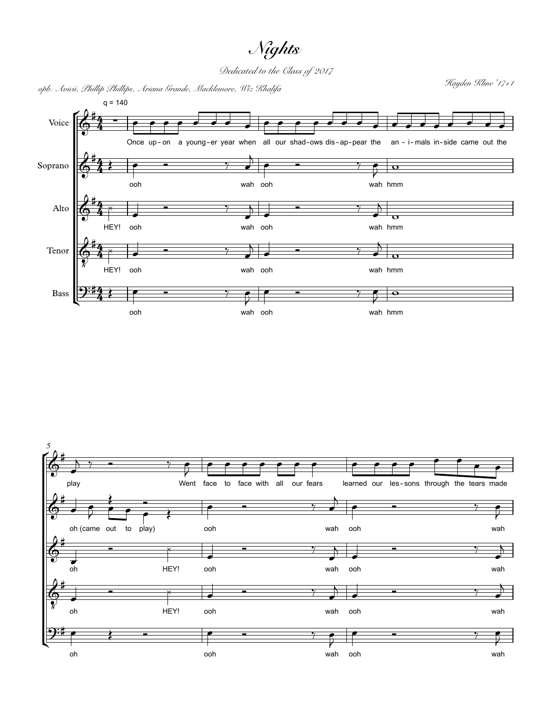Dedicated to the Class of 2017





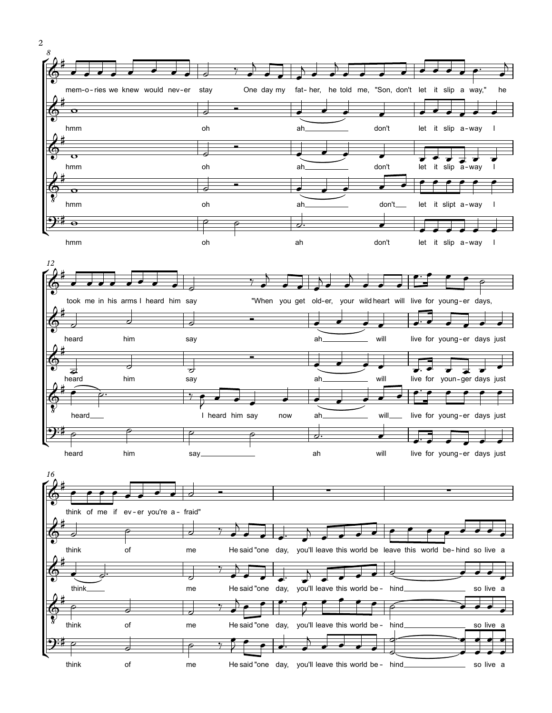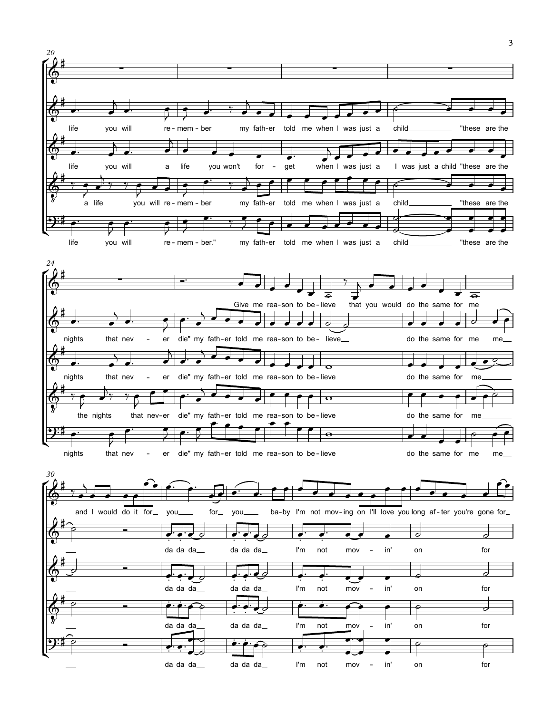

3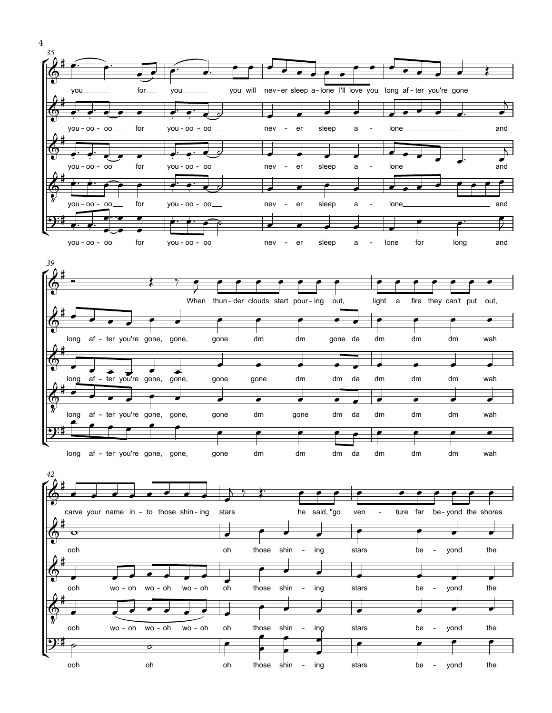

 $\overline{4}$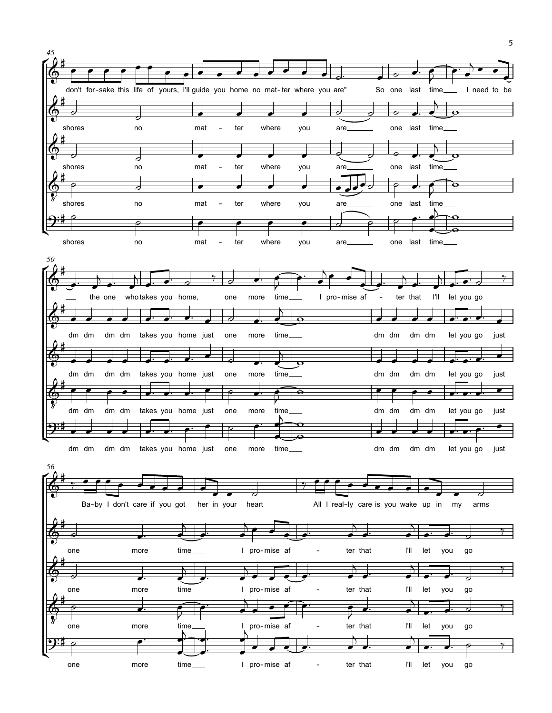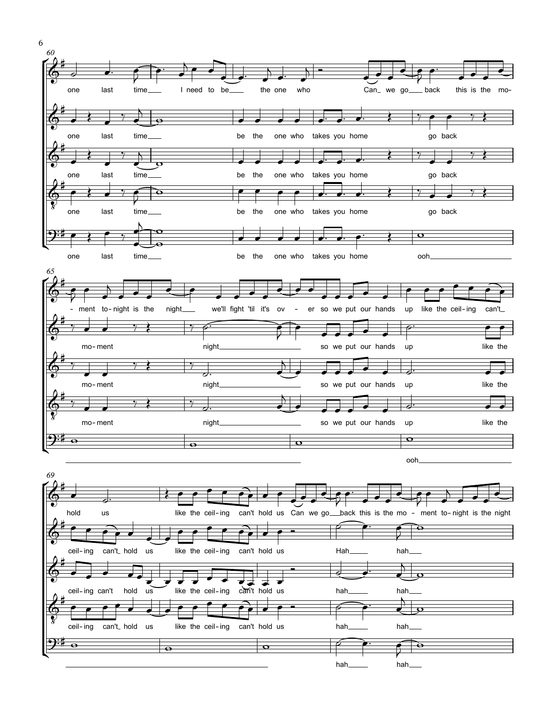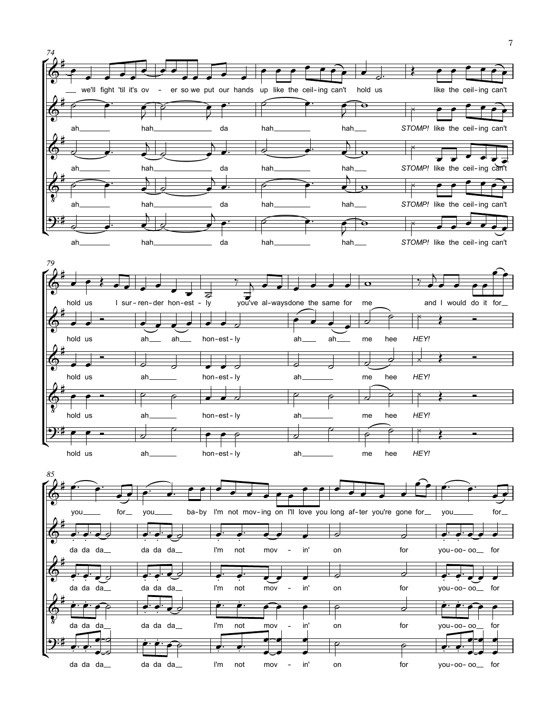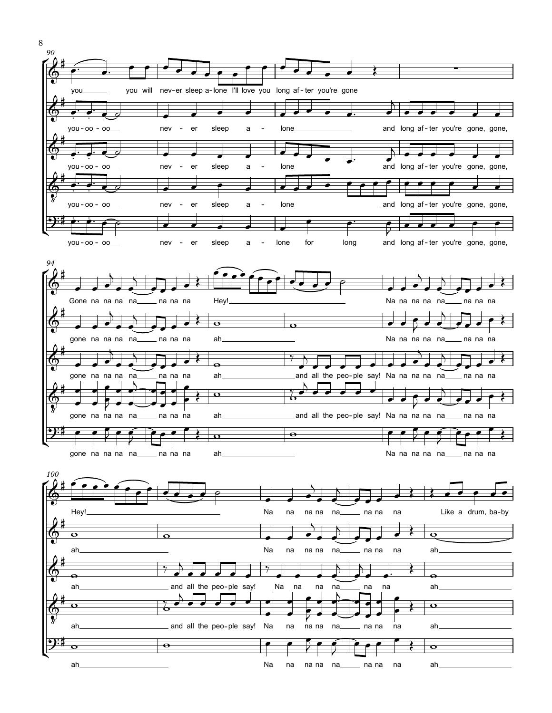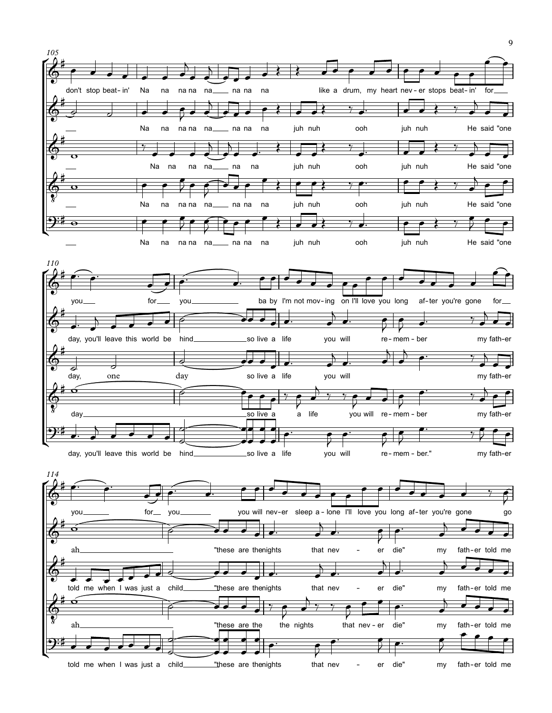

9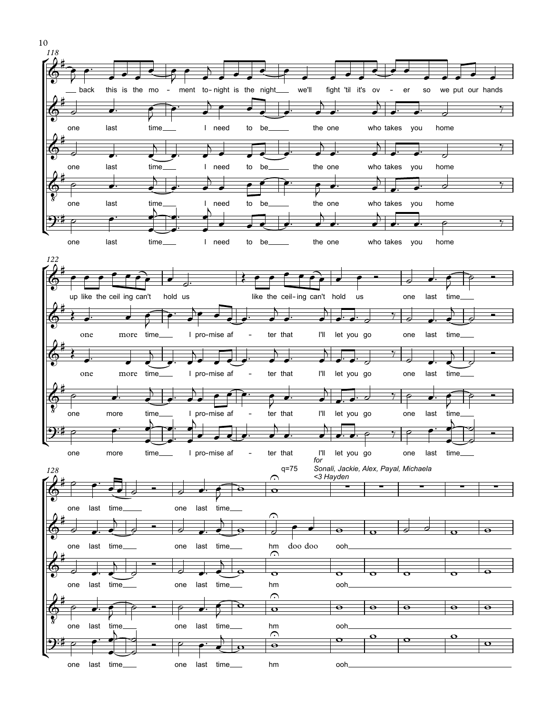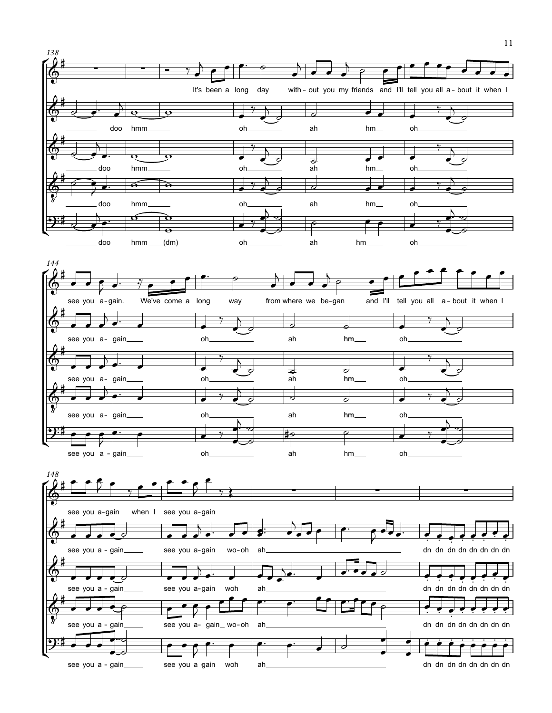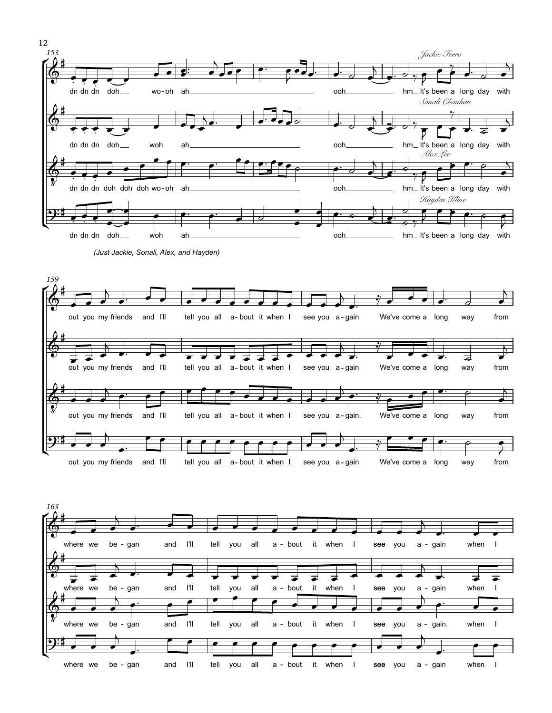

*(Just Jackie, Sonali, Alex, and Hayden)*